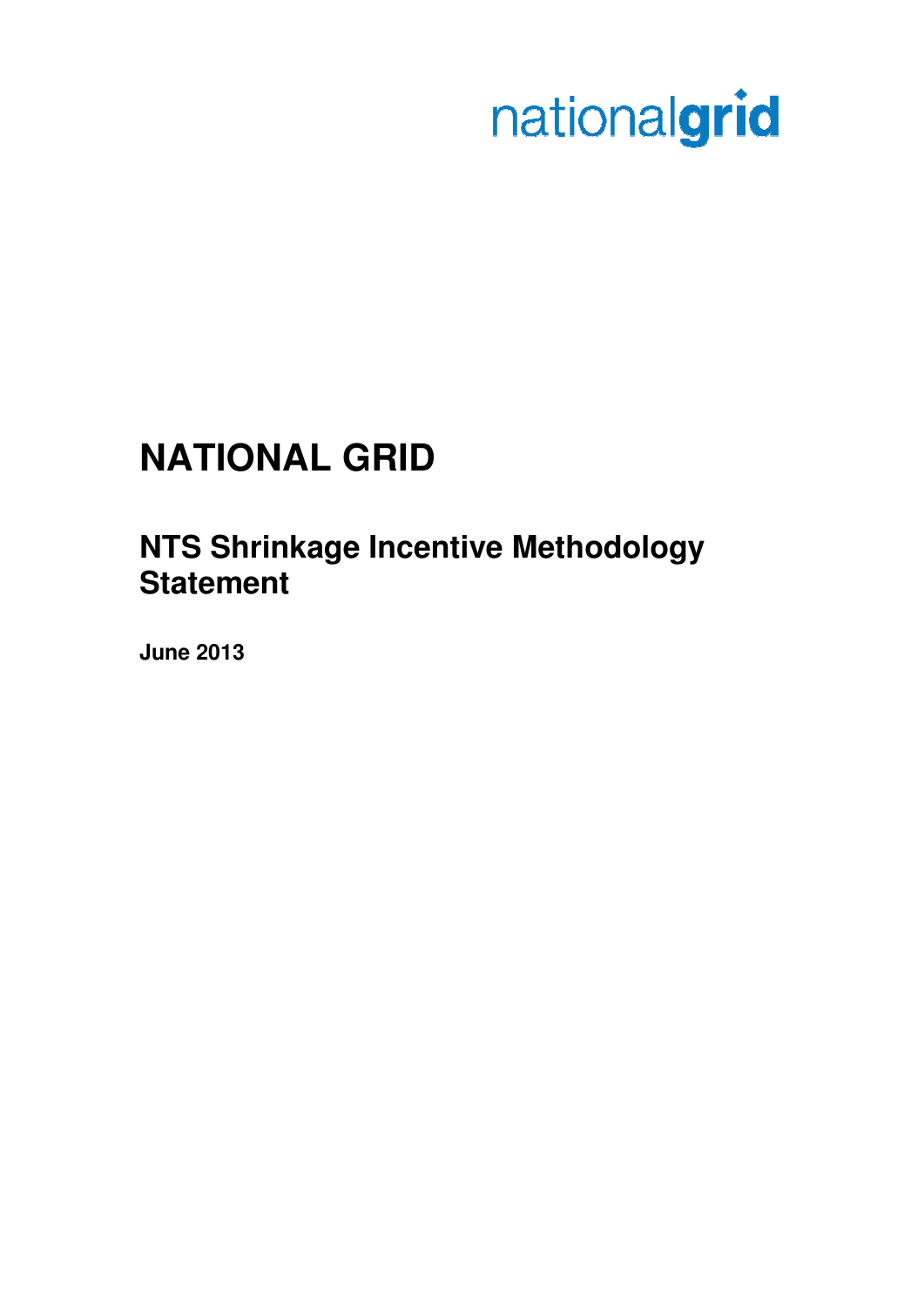# nationalgrid

# **NATIONAL GRID**

# **NTS Shrinkage Incentive Methodology Statement**

**June 2013**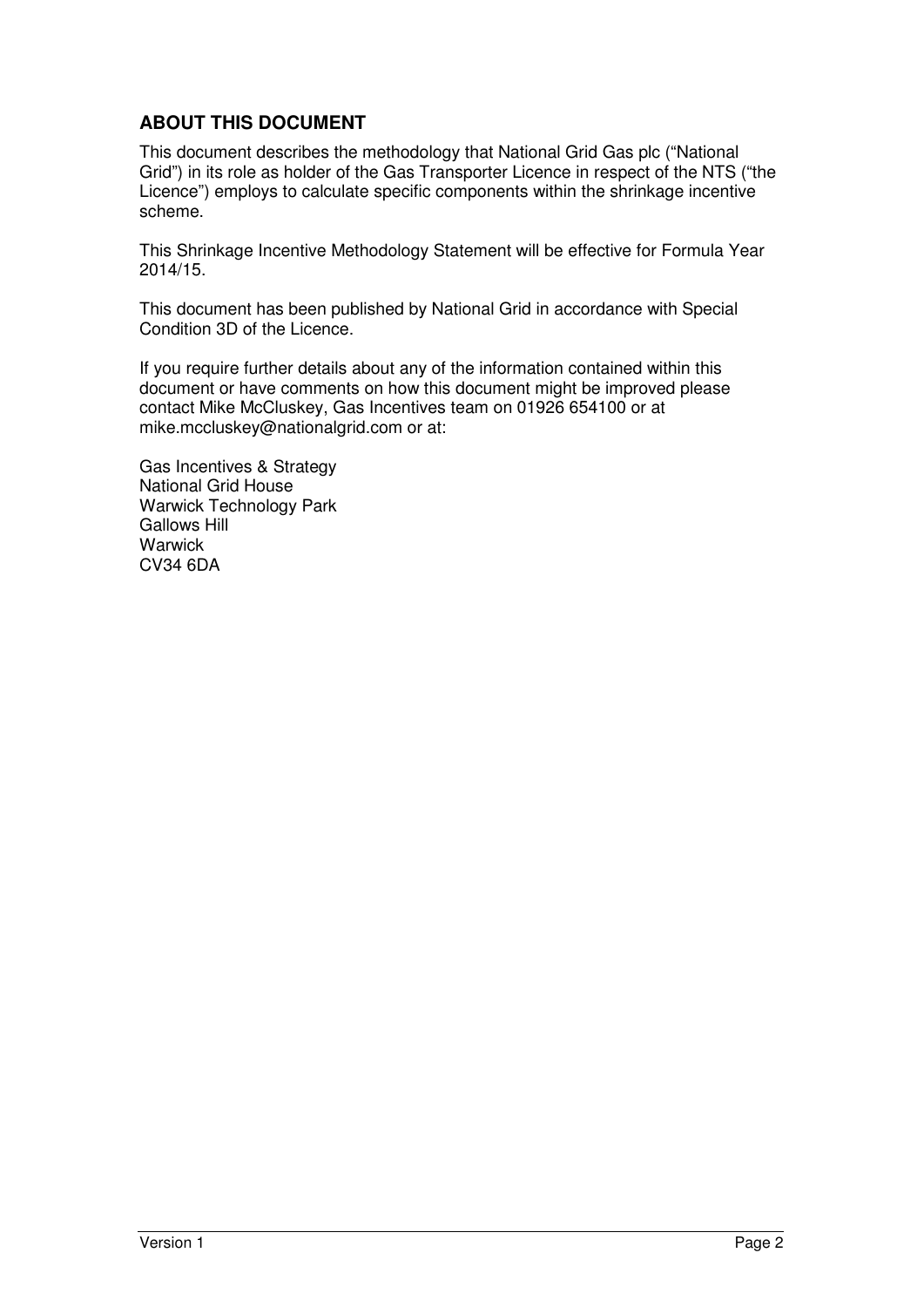#### **ABOUT THIS DOCUMENT**

This document describes the methodology that National Grid Gas plc ("National Grid") in its role as holder of the Gas Transporter Licence in respect of the NTS ("the Licence") employs to calculate specific components within the shrinkage incentive scheme.

This Shrinkage Incentive Methodology Statement will be effective for Formula Year 2014/15.

This document has been published by National Grid in accordance with Special Condition 3D of the Licence.

If you require further details about any of the information contained within this document or have comments on how this document might be improved please contact Mike McCluskey, Gas Incentives team on 01926 654100 or at mike.mccluskey@nationalgrid.com or at:

Gas Incentives & Strategy National Grid House Warwick Technology Park Gallows Hill **Warwick** CV34 6DA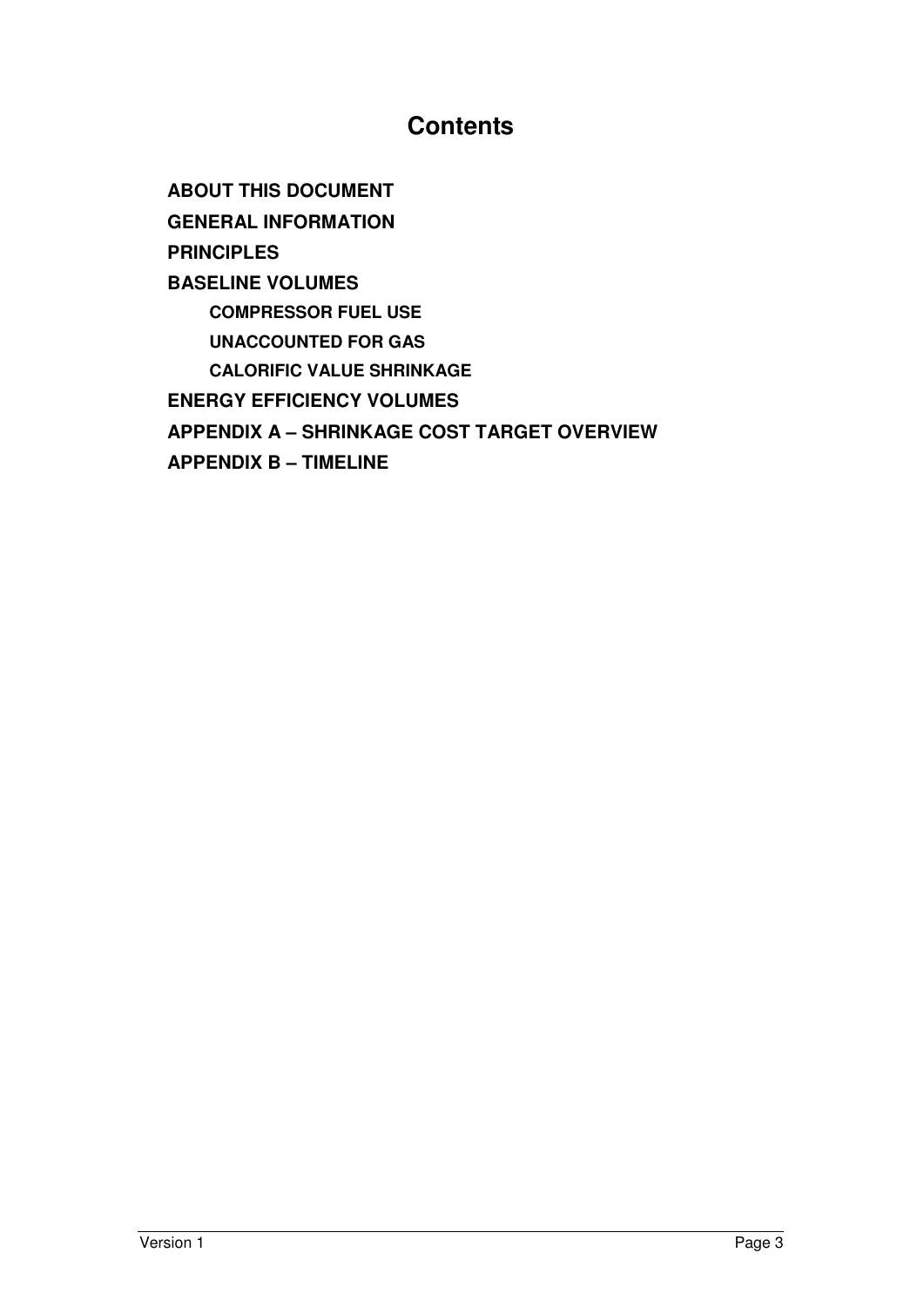# **Contents**

**ABOUT THIS DOCUMENT GENERAL INFORMATION PRINCIPLES BASELINE VOLUMES COMPRESSOR FUEL USE UNACCOUNTED FOR GAS CALORIFIC VALUE SHRINKAGE ENERGY EFFICIENCY VOLUMES APPENDIX A – SHRINKAGE COST TARGET OVERVIEW APPENDIX B – TIMELINE**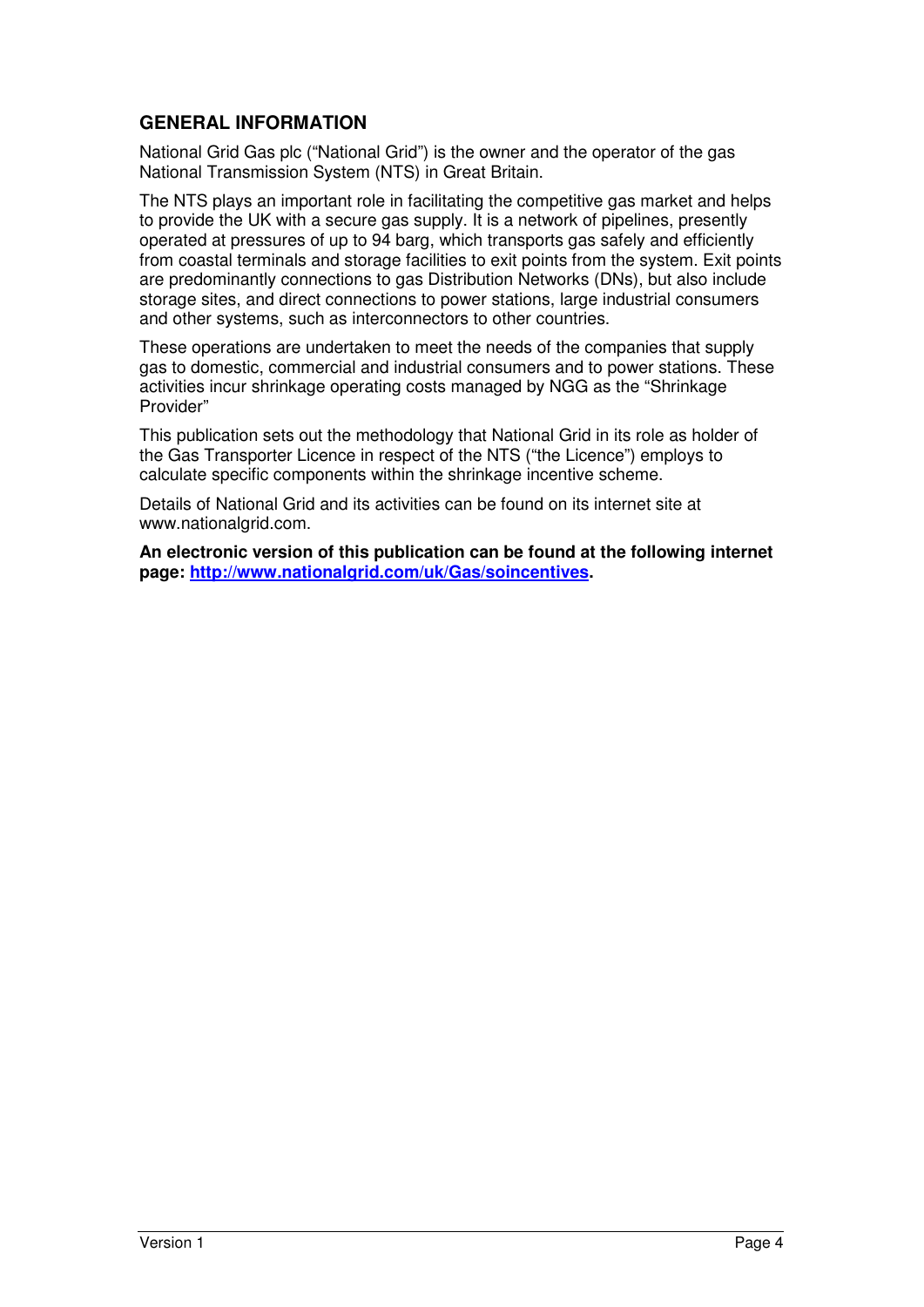#### **GENERAL INFORMATION**

National Grid Gas plc ("National Grid") is the owner and the operator of the gas National Transmission System (NTS) in Great Britain.

The NTS plays an important role in facilitating the competitive gas market and helps to provide the UK with a secure gas supply. It is a network of pipelines, presently operated at pressures of up to 94 barg, which transports gas safely and efficiently from coastal terminals and storage facilities to exit points from the system. Exit points are predominantly connections to gas Distribution Networks (DNs), but also include storage sites, and direct connections to power stations, large industrial consumers and other systems, such as interconnectors to other countries.

These operations are undertaken to meet the needs of the companies that supply gas to domestic, commercial and industrial consumers and to power stations. These activities incur shrinkage operating costs managed by NGG as the "Shrinkage Provider"

This publication sets out the methodology that National Grid in its role as holder of the Gas Transporter Licence in respect of the NTS ("the Licence") employs to calculate specific components within the shrinkage incentive scheme.

Details of National Grid and its activities can be found on its internet site at www.nationalgrid.com.

**An electronic version of this publication can be found at the following internet page: http://www.nationalgrid.com/uk/Gas/soincentives.**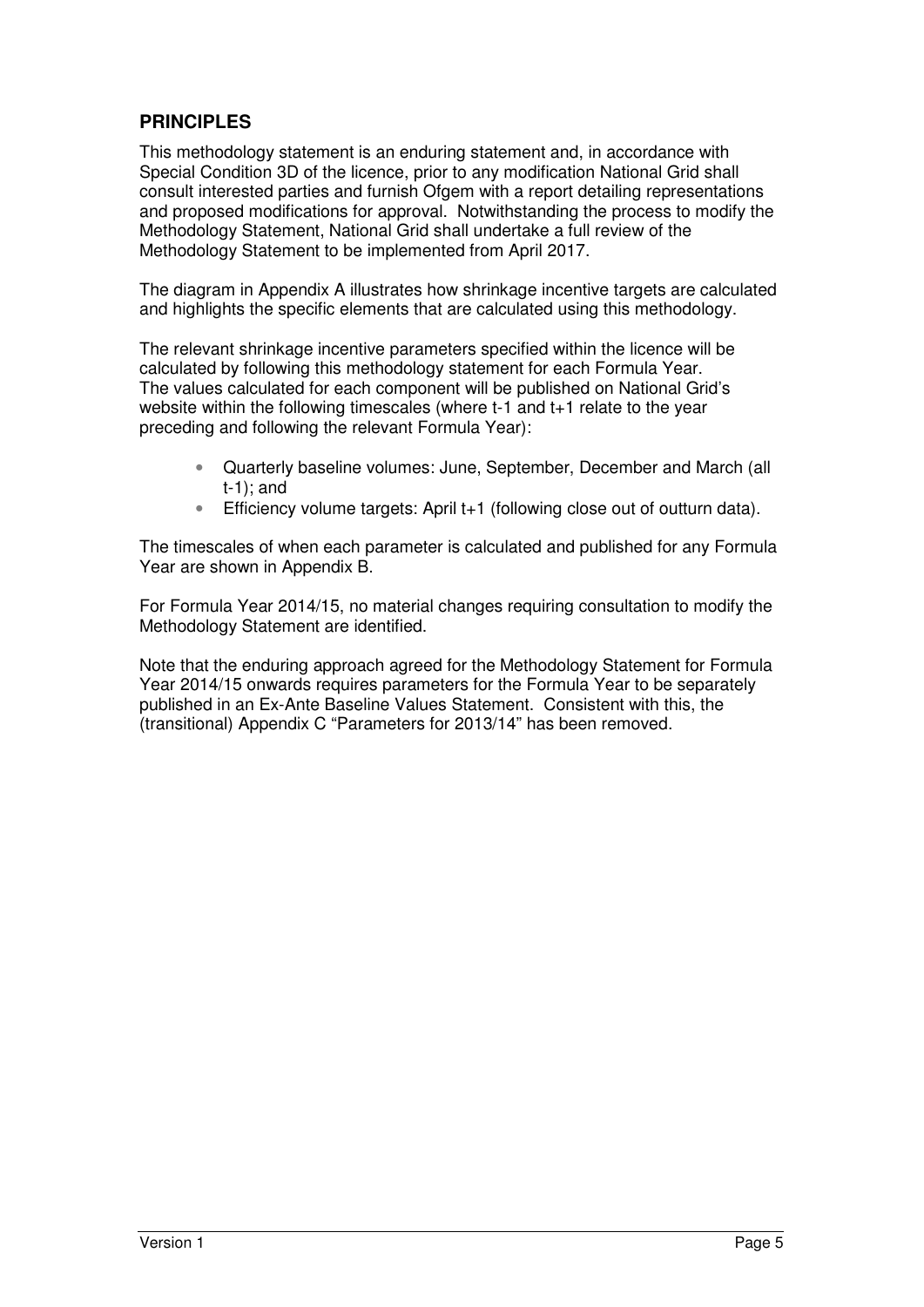#### **PRINCIPLES**

This methodology statement is an enduring statement and, in accordance with Special Condition 3D of the licence, prior to any modification National Grid shall consult interested parties and furnish Ofgem with a report detailing representations and proposed modifications for approval. Notwithstanding the process to modify the Methodology Statement, National Grid shall undertake a full review of the Methodology Statement to be implemented from April 2017.

The diagram in Appendix A illustrates how shrinkage incentive targets are calculated and highlights the specific elements that are calculated using this methodology.

The relevant shrinkage incentive parameters specified within the licence will be calculated by following this methodology statement for each Formula Year. The values calculated for each component will be published on National Grid's website within the following timescales (where t-1 and t+1 relate to the year preceding and following the relevant Formula Year):

- Quarterly baseline volumes: June, September, December and March (all t-1); and
- Efficiency volume targets: April t+1 (following close out of outturn data).

The timescales of when each parameter is calculated and published for any Formula Year are shown in Appendix B.

For Formula Year 2014/15, no material changes requiring consultation to modify the Methodology Statement are identified.

Note that the enduring approach agreed for the Methodology Statement for Formula Year 2014/15 onwards requires parameters for the Formula Year to be separately published in an Ex-Ante Baseline Values Statement. Consistent with this, the (transitional) Appendix C "Parameters for 2013/14" has been removed.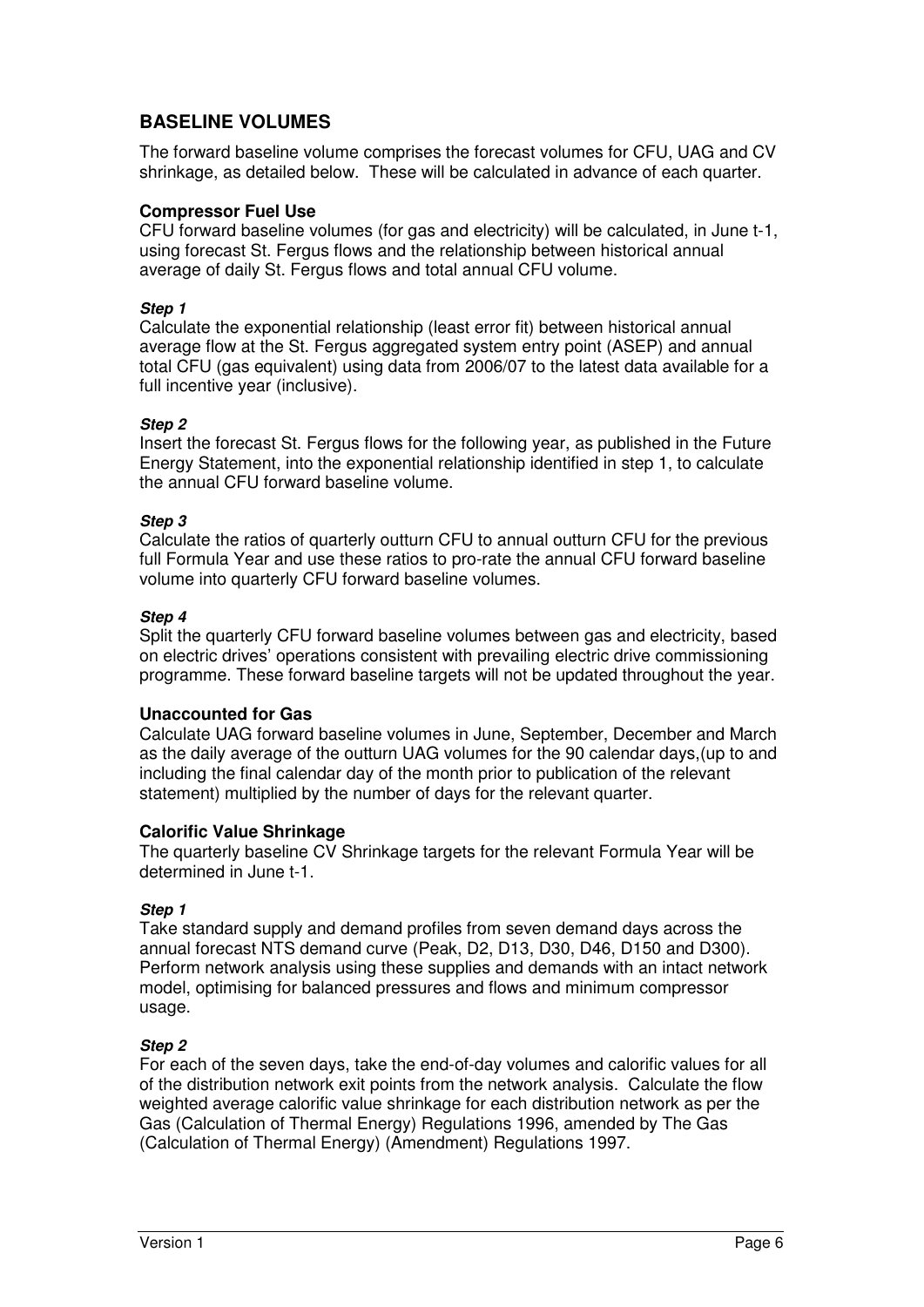#### **BASELINE VOLUMES**

The forward baseline volume comprises the forecast volumes for CFU, UAG and CV shrinkage, as detailed below. These will be calculated in advance of each quarter.

#### **Compressor Fuel Use**

CFU forward baseline volumes (for gas and electricity) will be calculated, in June t-1, using forecast St. Fergus flows and the relationship between historical annual average of daily St. Fergus flows and total annual CFU volume.

#### **Step 1**

Calculate the exponential relationship (least error fit) between historical annual average flow at the St. Fergus aggregated system entry point (ASEP) and annual total CFU (gas equivalent) using data from 2006/07 to the latest data available for a full incentive year (inclusive).

#### **Step 2**

Insert the forecast St. Fergus flows for the following year, as published in the Future Energy Statement, into the exponential relationship identified in step 1, to calculate the annual CFU forward baseline volume.

#### **Step 3**

Calculate the ratios of quarterly outturn CFU to annual outturn CFU for the previous full Formula Year and use these ratios to pro-rate the annual CFU forward baseline volume into quarterly CFU forward baseline volumes.

#### **Step 4**

Split the quarterly CFU forward baseline volumes between gas and electricity, based on electric drives' operations consistent with prevailing electric drive commissioning programme. These forward baseline targets will not be updated throughout the year.

#### **Unaccounted for Gas**

Calculate UAG forward baseline volumes in June, September, December and March as the daily average of the outturn UAG volumes for the 90 calendar days,(up to and including the final calendar day of the month prior to publication of the relevant statement) multiplied by the number of days for the relevant quarter.

#### **Calorific Value Shrinkage**

The quarterly baseline CV Shrinkage targets for the relevant Formula Year will be determined in June t-1.

#### **Step 1**

Take standard supply and demand profiles from seven demand days across the annual forecast NTS demand curve (Peak, D2, D13, D30, D46, D150 and D300). Perform network analysis using these supplies and demands with an intact network model, optimising for balanced pressures and flows and minimum compressor usage.

#### **Step 2**

For each of the seven days, take the end-of-day volumes and calorific values for all of the distribution network exit points from the network analysis. Calculate the flow weighted average calorific value shrinkage for each distribution network as per the Gas (Calculation of Thermal Energy) Regulations 1996, amended by The Gas (Calculation of Thermal Energy) (Amendment) Regulations 1997.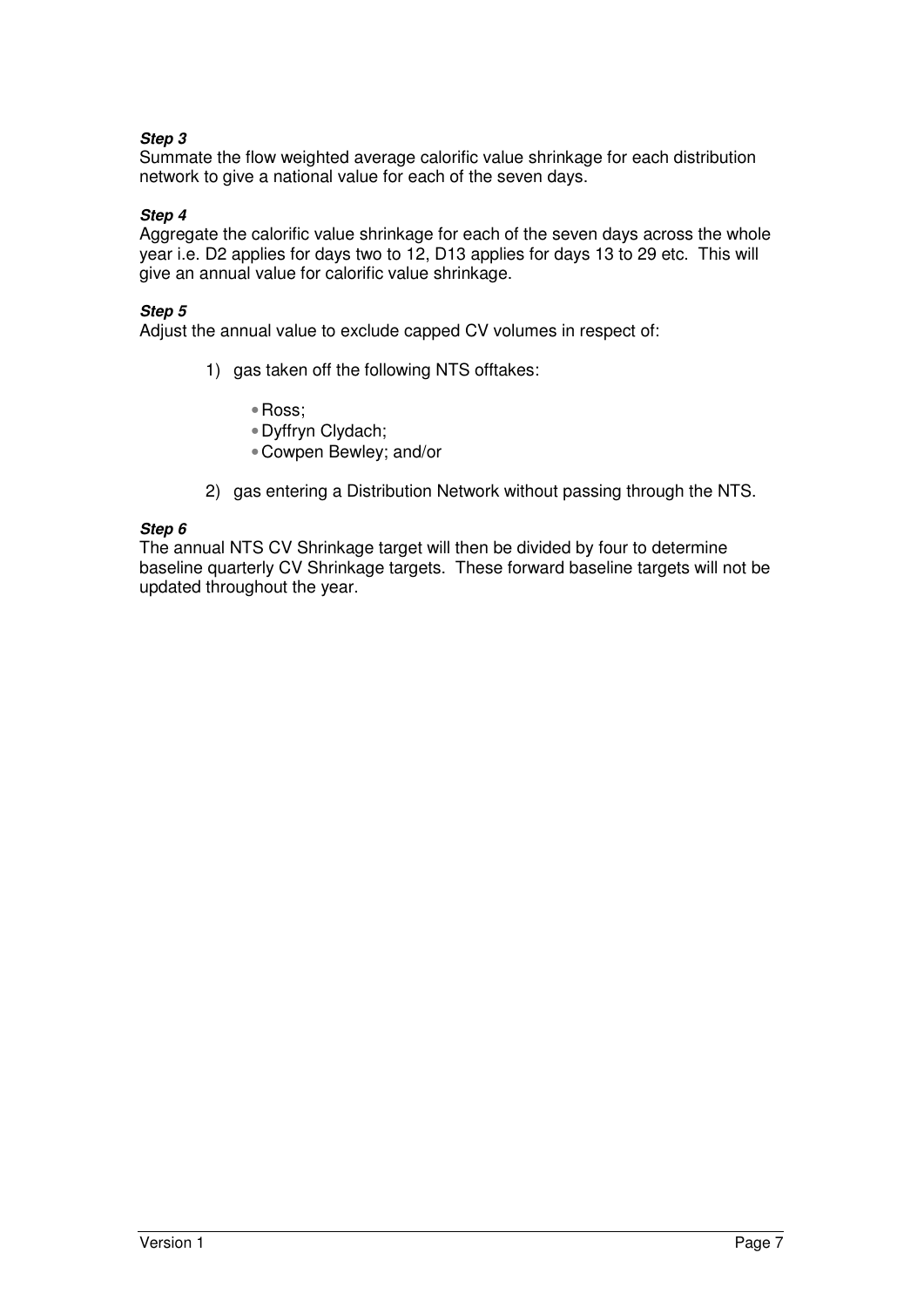#### **Step 3**

Summate the flow weighted average calorific value shrinkage for each distribution network to give a national value for each of the seven days.

#### **Step 4**

Aggregate the calorific value shrinkage for each of the seven days across the whole year i.e. D2 applies for days two to 12, D13 applies for days 13 to 29 etc. This will give an annual value for calorific value shrinkage.

#### **Step 5**

Adjust the annual value to exclude capped CV volumes in respect of:

- 1) gas taken off the following NTS offtakes:
	- •Ross;
	- •Dyffryn Clydach;
	- •Cowpen Bewley; and/or
- 2) gas entering a Distribution Network without passing through the NTS.

#### **Step 6**

The annual NTS CV Shrinkage target will then be divided by four to determine baseline quarterly CV Shrinkage targets. These forward baseline targets will not be updated throughout the year.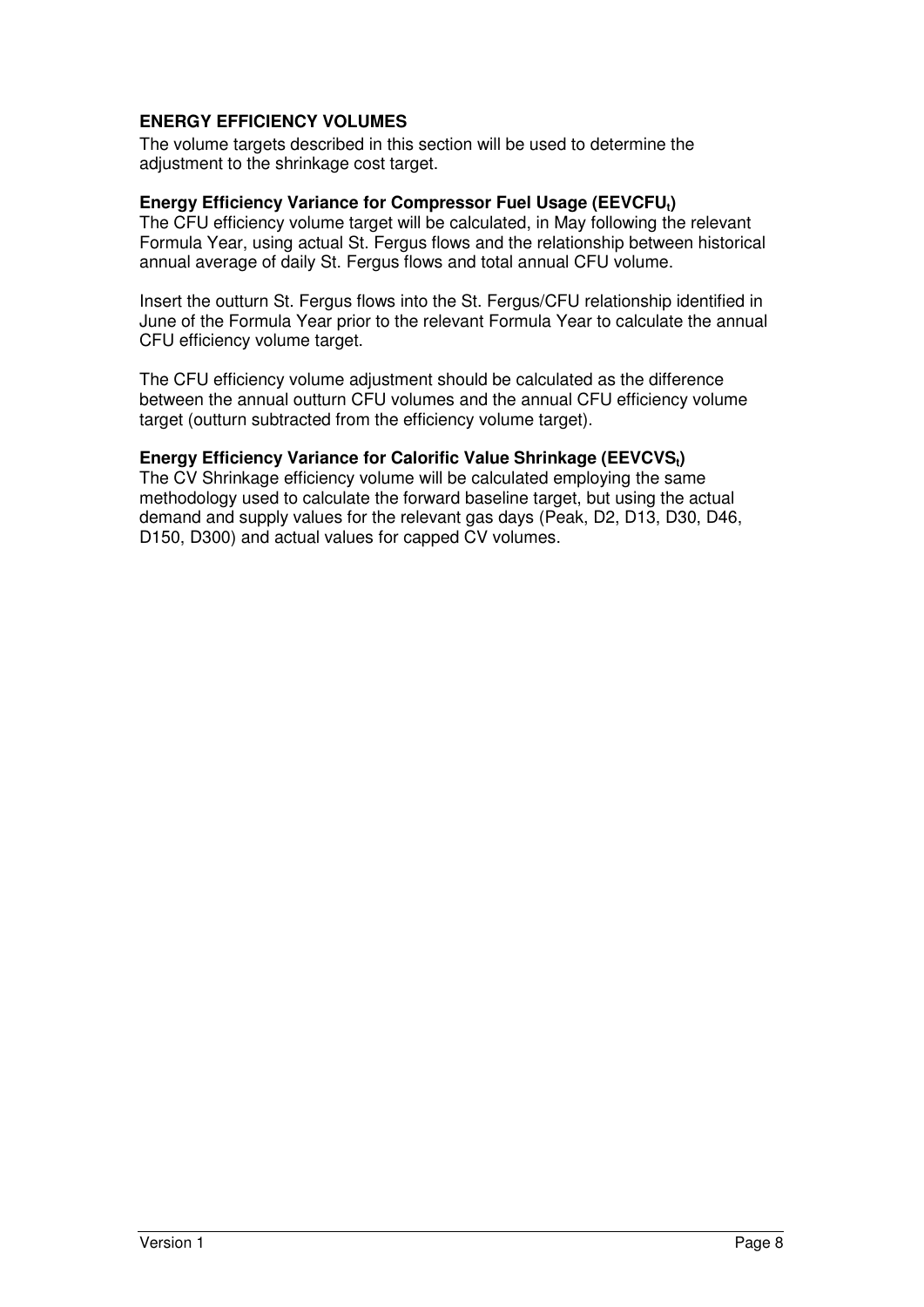#### **ENERGY EFFICIENCY VOLUMES**

The volume targets described in this section will be used to determine the adjustment to the shrinkage cost target.

#### **Energy Efficiency Variance for Compressor Fuel Usage (EEVCFUt)**

The CFU efficiency volume target will be calculated, in May following the relevant Formula Year, using actual St. Fergus flows and the relationship between historical annual average of daily St. Fergus flows and total annual CFU volume.

Insert the outturn St. Fergus flows into the St. Fergus/CFU relationship identified in June of the Formula Year prior to the relevant Formula Year to calculate the annual CFU efficiency volume target.

The CFU efficiency volume adjustment should be calculated as the difference between the annual outturn CFU volumes and the annual CFU efficiency volume target (outturn subtracted from the efficiency volume target).

#### **Energy Efficiency Variance for Calorific Value Shrinkage (EEVCVSt)**

The CV Shrinkage efficiency volume will be calculated employing the same methodology used to calculate the forward baseline target, but using the actual demand and supply values for the relevant gas days (Peak, D2, D13, D30, D46, D150, D300) and actual values for capped CV volumes.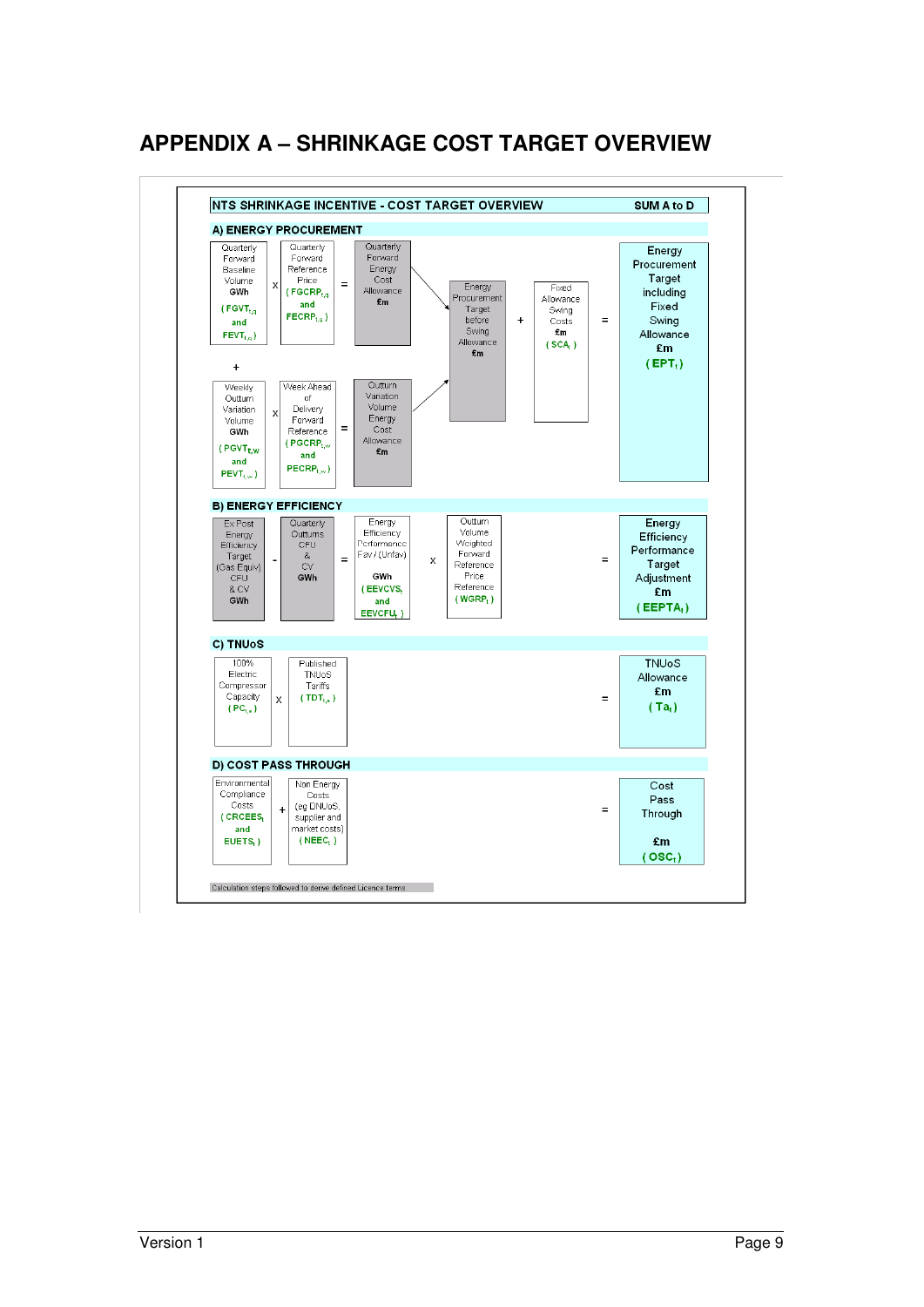# **APPENDIX A – SHRINKAGE COST TARGET OVERVIEW**